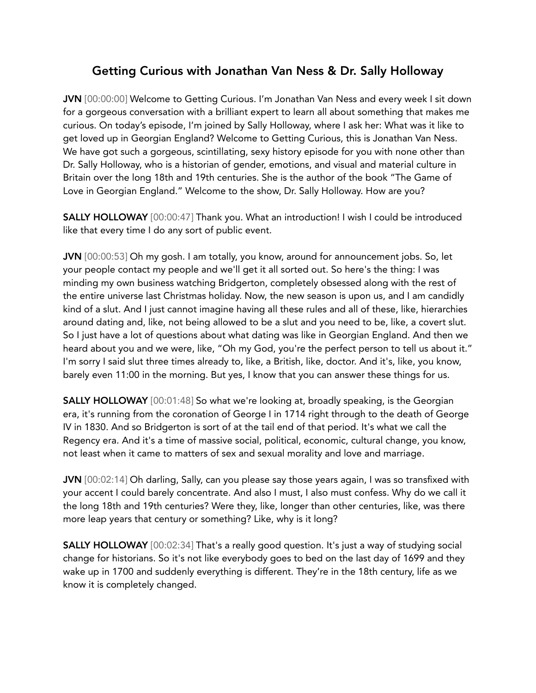# Getting Curious with Jonathan Van Ness & Dr. Sally Holloway

JVN [00:00:00] Welcome to Getting Curious. I'm Jonathan Van Ness and every week I sit down for a gorgeous conversation with a brilliant expert to learn all about something that makes me curious. On today's episode, I'm joined by Sally Holloway, where I ask her: What was it like to get loved up in Georgian England? Welcome to Getting Curious, this is Jonathan Van Ness. We have got such a gorgeous, scintillating, sexy history episode for you with none other than Dr. Sally Holloway, who is a historian of gender, emotions, and visual and material culture in Britain over the long 18th and 19th centuries. She is the author of the book "The Game of Love in Georgian England." Welcome to the show, Dr. Sally Holloway. How are you?

SALLY HOLLOWAY [00:00:47] Thank you. What an introduction! I wish I could be introduced like that every time I do any sort of public event.

JVN [00:00:53] Oh my gosh. I am totally, you know, around for announcement jobs. So, let your people contact my people and we'll get it all sorted out. So here's the thing: I was minding my own business watching Bridgerton, completely obsessed along with the rest of the entire universe last Christmas holiday. Now, the new season is upon us, and I am candidly kind of a slut. And I just cannot imagine having all these rules and all of these, like, hierarchies around dating and, like, not being allowed to be a slut and you need to be, like, a covert slut. So I just have a lot of questions about what dating was like in Georgian England. And then we heard about you and we were, like, "Oh my God, you're the perfect person to tell us about it." I'm sorry I said slut three times already to, like, a British, like, doctor. And it's, like, you know, barely even 11:00 in the morning. But yes, I know that you can answer these things for us.

SALLY HOLLOWAY [00:01:48] So what we're looking at, broadly speaking, is the Georgian era, it's running from the coronation of George I in 1714 right through to the death of George IV in 1830. And so Bridgerton is sort of at the tail end of that period. It's what we call the Regency era. And it's a time of massive social, political, economic, cultural change, you know, not least when it came to matters of sex and sexual morality and love and marriage.

JVN [00:02:14] Oh darling, Sally, can you please say those years again, I was so transfixed with your accent I could barely concentrate. And also I must, I also must confess. Why do we call it the long 18th and 19th centuries? Were they, like, longer than other centuries, like, was there more leap years that century or something? Like, why is it long?

SALLY HOLLOWAY [00:02:34] That's a really good question. It's just a way of studying social change for historians. So it's not like everybody goes to bed on the last day of 1699 and they wake up in 1700 and suddenly everything is different. They're in the 18th century, life as we know it is completely changed.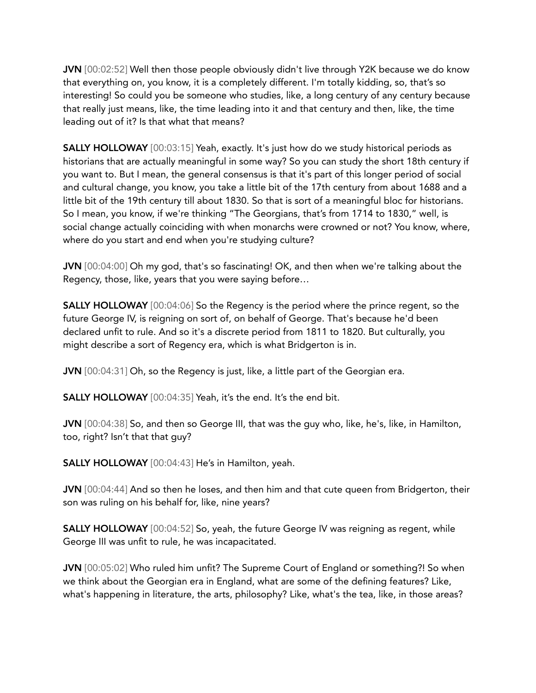JVN [00:02:52] Well then those people obviously didn't live through Y2K because we do know that everything on, you know, it is a completely different. I'm totally kidding, so, that's so interesting! So could you be someone who studies, like, a long century of any century because that really just means, like, the time leading into it and that century and then, like, the time leading out of it? Is that what that means?

SALLY HOLLOWAY [00:03:15] Yeah, exactly. It's just how do we study historical periods as historians that are actually meaningful in some way? So you can study the short 18th century if you want to. But I mean, the general consensus is that it's part of this longer period of social and cultural change, you know, you take a little bit of the 17th century from about 1688 and a little bit of the 19th century till about 1830. So that is sort of a meaningful bloc for historians. So I mean, you know, if we're thinking "The Georgians, that's from 1714 to 1830," well, is social change actually coinciding with when monarchs were crowned or not? You know, where, where do you start and end when you're studying culture?

JVN [00:04:00] Oh my god, that's so fascinating! OK, and then when we're talking about the Regency, those, like, years that you were saying before…

SALLY HOLLOWAY [00:04:06] So the Regency is the period where the prince regent, so the future George IV, is reigning on sort of, on behalf of George. That's because he'd been declared unfit to rule. And so it's a discrete period from 1811 to 1820. But culturally, you might describe a sort of Regency era, which is what Bridgerton is in.

JVN [00:04:31] Oh, so the Regency is just, like, a little part of the Georgian era.

SALLY HOLLOWAY [00:04:35] Yeah, it's the end. It's the end bit.

JVN [00:04:38] So, and then so George III, that was the guy who, like, he's, like, in Hamilton, too, right? Isn't that that guy?

SALLY HOLLOWAY [00:04:43] He's in Hamilton, yeah.

JVN [00:04:44] And so then he loses, and then him and that cute queen from Bridgerton, their son was ruling on his behalf for, like, nine years?

SALLY HOLLOWAY [00:04:52] So, yeah, the future George IV was reigning as regent, while George III was unfit to rule, he was incapacitated.

JVN [00:05:02] Who ruled him unfit? The Supreme Court of England or something?! So when we think about the Georgian era in England, what are some of the defining features? Like, what's happening in literature, the arts, philosophy? Like, what's the tea, like, in those areas?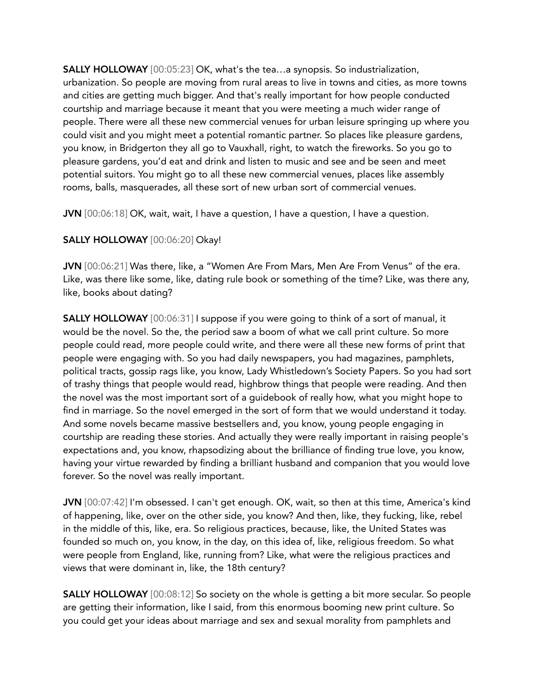SALLY HOLLOWAY [00:05:23] OK, what's the tea…a synopsis. So industrialization, urbanization. So people are moving from rural areas to live in towns and cities, as more towns and cities are getting much bigger. And that's really important for how people conducted courtship and marriage because it meant that you were meeting a much wider range of people. There were all these new commercial venues for urban leisure springing up where you could visit and you might meet a potential romantic partner. So places like pleasure gardens, you know, in Bridgerton they all go to Vauxhall, right, to watch the fireworks. So you go to pleasure gardens, you'd eat and drink and listen to music and see and be seen and meet potential suitors. You might go to all these new commercial venues, places like assembly rooms, balls, masquerades, all these sort of new urban sort of commercial venues.

JVN [00:06:18] OK, wait, wait, I have a question, I have a question, I have a question.

## SALLY HOLLOWAY [00:06:20] Okay!

JVN [00:06:21] Was there, like, a "Women Are From Mars, Men Are From Venus" of the era. Like, was there like some, like, dating rule book or something of the time? Like, was there any, like, books about dating?

**SALLY HOLLOWAY** [00:06:31] I suppose if you were going to think of a sort of manual, it would be the novel. So the, the period saw a boom of what we call print culture. So more people could read, more people could write, and there were all these new forms of print that people were engaging with. So you had daily newspapers, you had magazines, pamphlets, political tracts, gossip rags like, you know, Lady Whistledown's Society Papers. So you had sort of trashy things that people would read, highbrow things that people were reading. And then the novel was the most important sort of a guidebook of really how, what you might hope to find in marriage. So the novel emerged in the sort of form that we would understand it today. And some novels became massive bestsellers and, you know, young people engaging in courtship are reading these stories. And actually they were really important in raising people's expectations and, you know, rhapsodizing about the brilliance of finding true love, you know, having your virtue rewarded by finding a brilliant husband and companion that you would love forever. So the novel was really important.

JVN [00:07:42] I'm obsessed. I can't get enough. OK, wait, so then at this time, America's kind of happening, like, over on the other side, you know? And then, like, they fucking, like, rebel in the middle of this, like, era. So religious practices, because, like, the United States was founded so much on, you know, in the day, on this idea of, like, religious freedom. So what were people from England, like, running from? Like, what were the religious practices and views that were dominant in, like, the 18th century?

SALLY HOLLOWAY [00:08:12] So society on the whole is getting a bit more secular. So people are getting their information, like I said, from this enormous booming new print culture. So you could get your ideas about marriage and sex and sexual morality from pamphlets and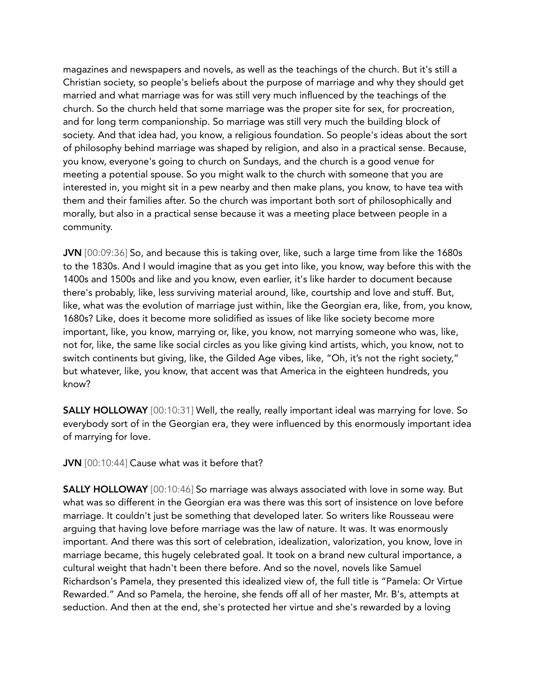magazines and newspapers and novels, as well as the teachings of the church. But it's still a Christian society, so people's beliefs about the purpose of marriage and why they should get married and what marriage was for was still very much influenced by the teachings of the church. So the church held that some marriage was the proper site for sex, for procreation, and for long term companionship. So marriage was still very much the building block of society. And that idea had, you know, a religious foundation. So people's ideas about the sort of philosophy behind marriage was shaped by religion, and also in a practical sense. Because, you know, everyone's going to church on Sundays, and the church is a good venue for meeting a potential spouse. So you might walk to the church with someone that you are interested in, you might sit in a pew nearby and then make plans, you know, to have tea with them and their families after. So the church was important both sort of philosophically and morally, but also in a practical sense because it was a meeting place between people in a community.

JVN [00:09:36] So, and because this is taking over, like, such a large time from like the 1680s to the 1830s. And I would imagine that as you get into like, you know, way before this with the 1400s and 1500s and like and you know, even earlier, it's like harder to document because there's probably, like, less surviving material around, like, courtship and love and stuff. But, like, what was the evolution of marriage just within, like the Georgian era, like, from, you know, 1680s? Like, does it become more solidified as issues of like like society become more important, like, you know, marrying or, like, you know, not marrying someone who was, like, not for, like, the same like social circles as you like giving kind artists, which, you know, not to switch continents but giving, like, the Gilded Age vibes, like, "Oh, it's not the right society," but whatever, like, you know, that accent was that America in the eighteen hundreds, you know?

SALLY HOLLOWAY [00:10:31] Well, the really, really important ideal was marrying for love. So everybody sort of in the Georgian era, they were influenced by this enormously important idea of marrying for love.

JVN [00:10:44] Cause what was it before that?

SALLY HOLLOWAY [00:10:46] So marriage was always associated with love in some way. But what was so different in the Georgian era was there was this sort of insistence on love before marriage. It couldn't just be something that developed later. So writers like Rousseau were arguing that having love before marriage was the law of nature. It was. It was enormously important. And there was this sort of celebration, idealization, valorization, you know, love in marriage became, this hugely celebrated goal. It took on a brand new cultural importance, a cultural weight that hadn't been there before. And so the novel, novels like Samuel Richardson's Pamela, they presented this idealized view of, the full title is "Pamela: Or Virtue Rewarded." And so Pamela, the heroine, she fends off all of her master, Mr. B's, attempts at seduction. And then at the end, she's protected her virtue and she's rewarded by a loving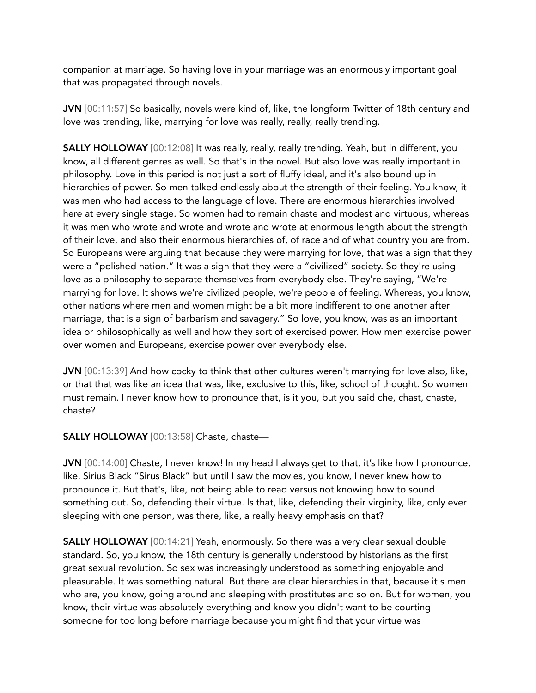companion at marriage. So having love in your marriage was an enormously important goal that was propagated through novels.

JVN [00:11:57] So basically, novels were kind of, like, the longform Twitter of 18th century and love was trending, like, marrying for love was really, really, really trending.

**SALLY HOLLOWAY** [00:12:08] It was really, really, really trending. Yeah, but in different, you know, all different genres as well. So that's in the novel. But also love was really important in philosophy. Love in this period is not just a sort of fluffy ideal, and it's also bound up in hierarchies of power. So men talked endlessly about the strength of their feeling. You know, it was men who had access to the language of love. There are enormous hierarchies involved here at every single stage. So women had to remain chaste and modest and virtuous, whereas it was men who wrote and wrote and wrote and wrote at enormous length about the strength of their love, and also their enormous hierarchies of, of race and of what country you are from. So Europeans were arguing that because they were marrying for love, that was a sign that they were a "polished nation." It was a sign that they were a "civilized" society. So they're using love as a philosophy to separate themselves from everybody else. They're saying, "We're marrying for love. It shows we're civilized people, we're people of feeling. Whereas, you know, other nations where men and women might be a bit more indifferent to one another after marriage, that is a sign of barbarism and savagery." So love, you know, was as an important idea or philosophically as well and how they sort of exercised power. How men exercise power over women and Europeans, exercise power over everybody else.

JVN [00:13:39] And how cocky to think that other cultures weren't marrying for love also, like, or that that was like an idea that was, like, exclusive to this, like, school of thought. So women must remain. I never know how to pronounce that, is it you, but you said che, chast, chaste, chaste?

## SALLY HOLLOWAY [00:13:58] Chaste, chaste—

JVN [00:14:00] Chaste, I never know! In my head I always get to that, it's like how I pronounce, like, Sirius Black "Sirus Black" but until I saw the movies, you know, I never knew how to pronounce it. But that's, like, not being able to read versus not knowing how to sound something out. So, defending their virtue. Is that, like, defending their virginity, like, only ever sleeping with one person, was there, like, a really heavy emphasis on that?

SALLY HOLLOWAY [00:14:21] Yeah, enormously. So there was a very clear sexual double standard. So, you know, the 18th century is generally understood by historians as the first great sexual revolution. So sex was increasingly understood as something enjoyable and pleasurable. It was something natural. But there are clear hierarchies in that, because it's men who are, you know, going around and sleeping with prostitutes and so on. But for women, you know, their virtue was absolutely everything and know you didn't want to be courting someone for too long before marriage because you might find that your virtue was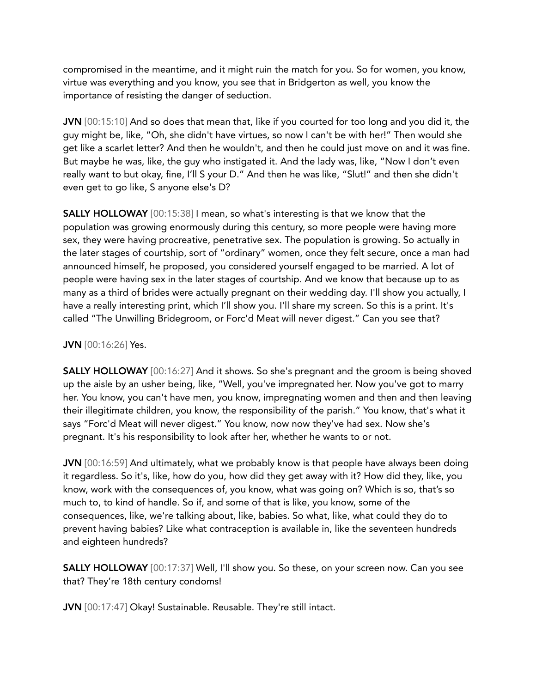compromised in the meantime, and it might ruin the match for you. So for women, you know, virtue was everything and you know, you see that in Bridgerton as well, you know the importance of resisting the danger of seduction.

JVN [00:15:10] And so does that mean that, like if you courted for too long and you did it, the guy might be, like, "Oh, she didn't have virtues, so now I can't be with her!" Then would she get like a scarlet letter? And then he wouldn't, and then he could just move on and it was fine. But maybe he was, like, the guy who instigated it. And the lady was, like, "Now I don't even really want to but okay, fine, I'll S your D." And then he was like, "Slut!" and then she didn't even get to go like, S anyone else's D?

SALLY HOLLOWAY [00:15:38] I mean, so what's interesting is that we know that the population was growing enormously during this century, so more people were having more sex, they were having procreative, penetrative sex. The population is growing. So actually in the later stages of courtship, sort of "ordinary" women, once they felt secure, once a man had announced himself, he proposed, you considered yourself engaged to be married. A lot of people were having sex in the later stages of courtship. And we know that because up to as many as a third of brides were actually pregnant on their wedding day. I'll show you actually, I have a really interesting print, which I'll show you. I'll share my screen. So this is a print. It's called "The Unwilling Bridegroom, or Forc'd Meat will never digest." Can you see that?

#### JVN [00:16:26] Yes.

SALLY HOLLOWAY [00:16:27] And it shows. So she's pregnant and the groom is being shoved up the aisle by an usher being, like, "Well, you've impregnated her. Now you've got to marry her. You know, you can't have men, you know, impregnating women and then and then leaving their illegitimate children, you know, the responsibility of the parish." You know, that's what it says "Forc'd Meat will never digest." You know, now now they've had sex. Now she's pregnant. It's his responsibility to look after her, whether he wants to or not.

JVN [00:16:59] And ultimately, what we probably know is that people have always been doing it regardless. So it's, like, how do you, how did they get away with it? How did they, like, you know, work with the consequences of, you know, what was going on? Which is so, that's so much to, to kind of handle. So if, and some of that is like, you know, some of the consequences, like, we're talking about, like, babies. So what, like, what could they do to prevent having babies? Like what contraception is available in, like the seventeen hundreds and eighteen hundreds?

SALLY HOLLOWAY [00:17:37] Well, I'll show you. So these, on your screen now. Can you see that? They're 18th century condoms!

JVN [00:17:47] Okay! Sustainable. Reusable. They're still intact.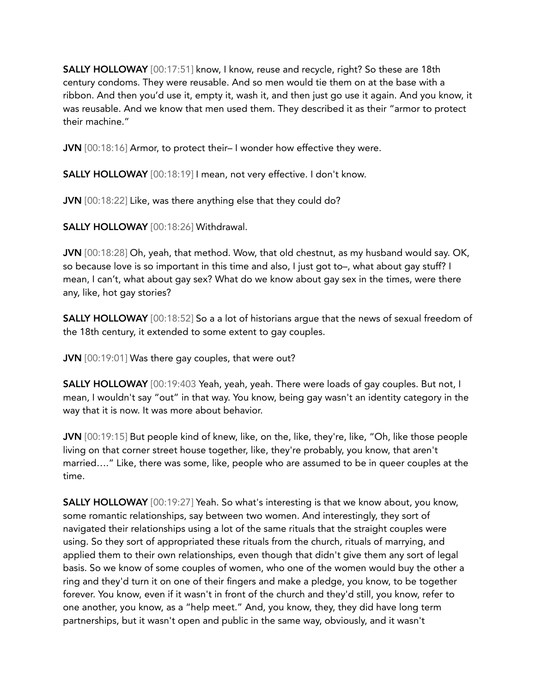SALLY HOLLOWAY [00:17:51] know, I know, reuse and recycle, right? So these are 18th century condoms. They were reusable. And so men would tie them on at the base with a ribbon. And then you'd use it, empty it, wash it, and then just go use it again. And you know, it was reusable. And we know that men used them. They described it as their "armor to protect their machine."

JVN [00:18:16] Armor, to protect their– I wonder how effective they were.

SALLY HOLLOWAY [00:18:19] I mean, not very effective. I don't know.

JVN [00:18:22] Like, was there anything else that they could do?

SALLY HOLLOWAY [00:18:26] Withdrawal.

JVN [00:18:28] Oh, yeah, that method. Wow, that old chestnut, as my husband would say. OK, so because love is so important in this time and also, I just got to–, what about gay stuff? I mean, I can't, what about gay sex? What do we know about gay sex in the times, were there any, like, hot gay stories?

SALLY HOLLOWAY [00:18:52] So a a lot of historians argue that the news of sexual freedom of the 18th century, it extended to some extent to gay couples.

JVN [00:19:01] Was there gay couples, that were out?

SALLY HOLLOWAY [00:19:403 Yeah, yeah, yeah. There were loads of gay couples. But not, I mean, I wouldn't say "out" in that way. You know, being gay wasn't an identity category in the way that it is now. It was more about behavior.

JVN [00:19:15] But people kind of knew, like, on the, like, they're, like, "Oh, like those people living on that corner street house together, like, they're probably, you know, that aren't married…." Like, there was some, like, people who are assumed to be in queer couples at the time.

SALLY HOLLOWAY [00:19:27] Yeah. So what's interesting is that we know about, you know, some romantic relationships, say between two women. And interestingly, they sort of navigated their relationships using a lot of the same rituals that the straight couples were using. So they sort of appropriated these rituals from the church, rituals of marrying, and applied them to their own relationships, even though that didn't give them any sort of legal basis. So we know of some couples of women, who one of the women would buy the other a ring and they'd turn it on one of their fingers and make a pledge, you know, to be together forever. You know, even if it wasn't in front of the church and they'd still, you know, refer to one another, you know, as a "help meet." And, you know, they, they did have long term partnerships, but it wasn't open and public in the same way, obviously, and it wasn't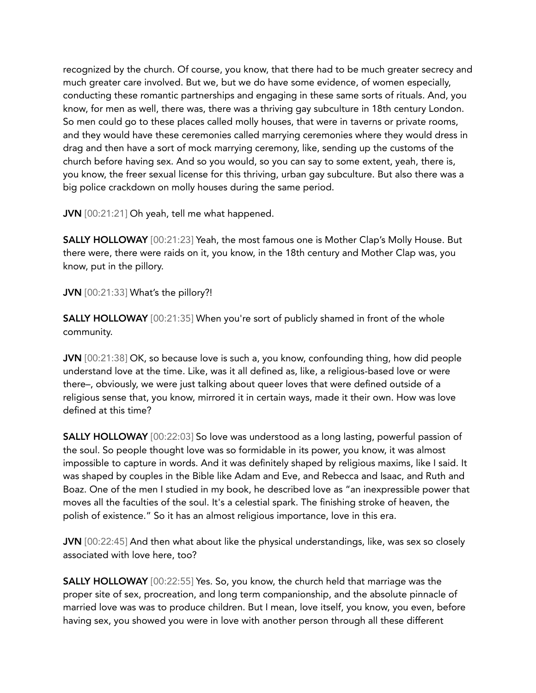recognized by the church. Of course, you know, that there had to be much greater secrecy and much greater care involved. But we, but we do have some evidence, of women especially, conducting these romantic partnerships and engaging in these same sorts of rituals. And, you know, for men as well, there was, there was a thriving gay subculture in 18th century London. So men could go to these places called molly houses, that were in taverns or private rooms, and they would have these ceremonies called marrying ceremonies where they would dress in drag and then have a sort of mock marrying ceremony, like, sending up the customs of the church before having sex. And so you would, so you can say to some extent, yeah, there is, you know, the freer sexual license for this thriving, urban gay subculture. But also there was a big police crackdown on molly houses during the same period.

JVN [00:21:21] Oh yeah, tell me what happened.

SALLY HOLLOWAY [00:21:23] Yeah, the most famous one is Mother Clap's Molly House. But there were, there were raids on it, you know, in the 18th century and Mother Clap was, you know, put in the pillory.

JVN [00:21:33] What's the pillory?!

SALLY HOLLOWAY [00:21:35] When you're sort of publicly shamed in front of the whole community.

JVN [00:21:38] OK, so because love is such a, you know, confounding thing, how did people understand love at the time. Like, was it all defined as, like, a religious-based love or were there–, obviously, we were just talking about queer loves that were defined outside of a religious sense that, you know, mirrored it in certain ways, made it their own. How was love defined at this time?

SALLY HOLLOWAY [00:22:03] So love was understood as a long lasting, powerful passion of the soul. So people thought love was so formidable in its power, you know, it was almost impossible to capture in words. And it was definitely shaped by religious maxims, like I said. It was shaped by couples in the Bible like Adam and Eve, and Rebecca and Isaac, and Ruth and Boaz. One of the men I studied in my book, he described love as "an inexpressible power that moves all the faculties of the soul. It's a celestial spark. The finishing stroke of heaven, the polish of existence." So it has an almost religious importance, love in this era.

JVN [00:22:45] And then what about like the physical understandings, like, was sex so closely associated with love here, too?

SALLY HOLLOWAY [00:22:55] Yes. So, you know, the church held that marriage was the proper site of sex, procreation, and long term companionship, and the absolute pinnacle of married love was was to produce children. But I mean, love itself, you know, you even, before having sex, you showed you were in love with another person through all these different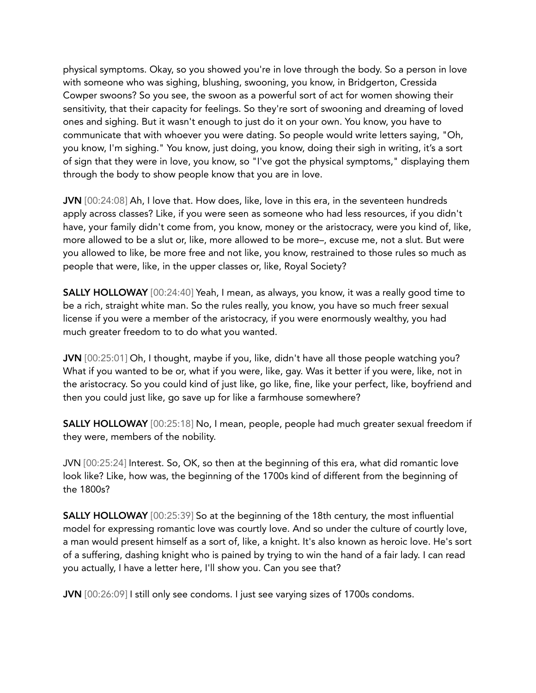physical symptoms. Okay, so you showed you're in love through the body. So a person in love with someone who was sighing, blushing, swooning, you know, in Bridgerton, Cressida Cowper swoons? So you see, the swoon as a powerful sort of act for women showing their sensitivity, that their capacity for feelings. So they're sort of swooning and dreaming of loved ones and sighing. But it wasn't enough to just do it on your own. You know, you have to communicate that with whoever you were dating. So people would write letters saying, "Oh, you know, I'm sighing." You know, just doing, you know, doing their sigh in writing, it's a sort of sign that they were in love, you know, so "I've got the physical symptoms," displaying them through the body to show people know that you are in love.

JVN [00:24:08] Ah, I love that. How does, like, love in this era, in the seventeen hundreds apply across classes? Like, if you were seen as someone who had less resources, if you didn't have, your family didn't come from, you know, money or the aristocracy, were you kind of, like, more allowed to be a slut or, like, more allowed to be more–, excuse me, not a slut. But were you allowed to like, be more free and not like, you know, restrained to those rules so much as people that were, like, in the upper classes or, like, Royal Society?

SALLY HOLLOWAY [00:24:40] Yeah, I mean, as always, you know, it was a really good time to be a rich, straight white man. So the rules really, you know, you have so much freer sexual license if you were a member of the aristocracy, if you were enormously wealthy, you had much greater freedom to to do what you wanted.

JVN [00:25:01] Oh, I thought, maybe if you, like, didn't have all those people watching you? What if you wanted to be or, what if you were, like, gay. Was it better if you were, like, not in the aristocracy. So you could kind of just like, go like, fine, like your perfect, like, boyfriend and then you could just like, go save up for like a farmhouse somewhere?

SALLY HOLLOWAY [00:25:18] No, I mean, people, people had much greater sexual freedom if they were, members of the nobility.

JVN [00:25:24] Interest. So, OK, so then at the beginning of this era, what did romantic love look like? Like, how was, the beginning of the 1700s kind of different from the beginning of the 1800s?

SALLY HOLLOWAY [00:25:39] So at the beginning of the 18th century, the most influential model for expressing romantic love was courtly love. And so under the culture of courtly love, a man would present himself as a sort of, like, a knight. It's also known as heroic love. He's sort of a suffering, dashing knight who is pained by trying to win the hand of a fair lady. I can read you actually, I have a letter here, I'll show you. Can you see that?

JVN [00:26:09] I still only see condoms. I just see varying sizes of 1700s condoms.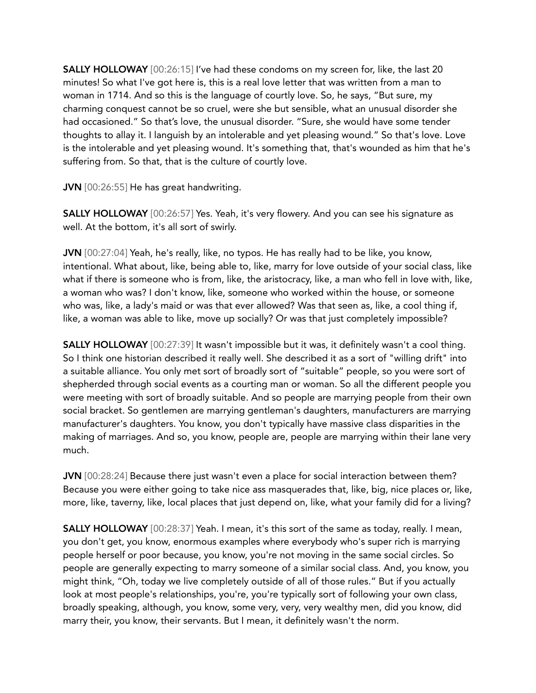SALLY HOLLOWAY [00:26:15] I've had these condoms on my screen for, like, the last 20 minutes! So what I've got here is, this is a real love letter that was written from a man to woman in 1714. And so this is the language of courtly love. So, he says, "But sure, my charming conquest cannot be so cruel, were she but sensible, what an unusual disorder she had occasioned." So that's love, the unusual disorder. "Sure, she would have some tender thoughts to allay it. I languish by an intolerable and yet pleasing wound." So that's love. Love is the intolerable and yet pleasing wound. It's something that, that's wounded as him that he's suffering from. So that, that is the culture of courtly love.

JVN [00:26:55] He has great handwriting.

SALLY HOLLOWAY [00:26:57] Yes. Yeah, it's very flowery. And you can see his signature as well. At the bottom, it's all sort of swirly.

JVN [00:27:04] Yeah, he's really, like, no typos. He has really had to be like, you know, intentional. What about, like, being able to, like, marry for love outside of your social class, like what if there is someone who is from, like, the aristocracy, like, a man who fell in love with, like, a woman who was? I don't know, like, someone who worked within the house, or someone who was, like, a lady's maid or was that ever allowed? Was that seen as, like, a cool thing if, like, a woman was able to like, move up socially? Or was that just completely impossible?

SALLY HOLLOWAY [00:27:39] It wasn't impossible but it was, it definitely wasn't a cool thing. So I think one historian described it really well. She described it as a sort of "willing drift" into a suitable alliance. You only met sort of broadly sort of "suitable" people, so you were sort of shepherded through social events as a courting man or woman. So all the different people you were meeting with sort of broadly suitable. And so people are marrying people from their own social bracket. So gentlemen are marrying gentleman's daughters, manufacturers are marrying manufacturer's daughters. You know, you don't typically have massive class disparities in the making of marriages. And so, you know, people are, people are marrying within their lane very much.

JVN [00:28:24] Because there just wasn't even a place for social interaction between them? Because you were either going to take nice ass masquerades that, like, big, nice places or, like, more, like, taverny, like, local places that just depend on, like, what your family did for a living?

SALLY HOLLOWAY [00:28:37] Yeah. I mean, it's this sort of the same as today, really. I mean, you don't get, you know, enormous examples where everybody who's super rich is marrying people herself or poor because, you know, you're not moving in the same social circles. So people are generally expecting to marry someone of a similar social class. And, you know, you might think, "Oh, today we live completely outside of all of those rules." But if you actually look at most people's relationships, you're, you're typically sort of following your own class, broadly speaking, although, you know, some very, very, very wealthy men, did you know, did marry their, you know, their servants. But I mean, it definitely wasn't the norm.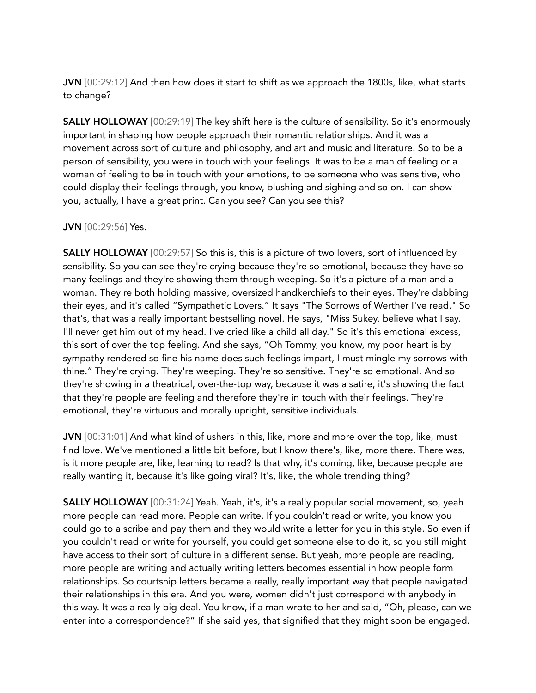JVN [00:29:12] And then how does it start to shift as we approach the 1800s, like, what starts to change?

SALLY HOLLOWAY [00:29:19] The key shift here is the culture of sensibility. So it's enormously important in shaping how people approach their romantic relationships. And it was a movement across sort of culture and philosophy, and art and music and literature. So to be a person of sensibility, you were in touch with your feelings. It was to be a man of feeling or a woman of feeling to be in touch with your emotions, to be someone who was sensitive, who could display their feelings through, you know, blushing and sighing and so on. I can show you, actually, I have a great print. Can you see? Can you see this?

#### JVN [00:29:56] Yes.

**SALLY HOLLOWAY** [00:29:57] So this is, this is a picture of two lovers, sort of influenced by sensibility. So you can see they're crying because they're so emotional, because they have so many feelings and they're showing them through weeping. So it's a picture of a man and a woman. They're both holding massive, oversized handkerchiefs to their eyes. They're dabbing their eyes, and it's called "Sympathetic Lovers." It says "The Sorrows of Werther I've read." So that's, that was a really important bestselling novel. He says, "Miss Sukey, believe what I say. I'll never get him out of my head. I've cried like a child all day." So it's this emotional excess, this sort of over the top feeling. And she says, "Oh Tommy, you know, my poor heart is by sympathy rendered so fine his name does such feelings impart, I must mingle my sorrows with thine." They're crying. They're weeping. They're so sensitive. They're so emotional. And so they're showing in a theatrical, over-the-top way, because it was a satire, it's showing the fact that they're people are feeling and therefore they're in touch with their feelings. They're emotional, they're virtuous and morally upright, sensitive individuals.

JVN [00:31:01] And what kind of ushers in this, like, more and more over the top, like, must find love. We've mentioned a little bit before, but I know there's, like, more there. There was, is it more people are, like, learning to read? Is that why, it's coming, like, because people are really wanting it, because it's like going viral? It's, like, the whole trending thing?

SALLY HOLLOWAY [00:31:24] Yeah. Yeah, it's, it's a really popular social movement, so, yeah more people can read more. People can write. If you couldn't read or write, you know you could go to a scribe and pay them and they would write a letter for you in this style. So even if you couldn't read or write for yourself, you could get someone else to do it, so you still might have access to their sort of culture in a different sense. But yeah, more people are reading, more people are writing and actually writing letters becomes essential in how people form relationships. So courtship letters became a really, really important way that people navigated their relationships in this era. And you were, women didn't just correspond with anybody in this way. It was a really big deal. You know, if a man wrote to her and said, "Oh, please, can we enter into a correspondence?" If she said yes, that signified that they might soon be engaged.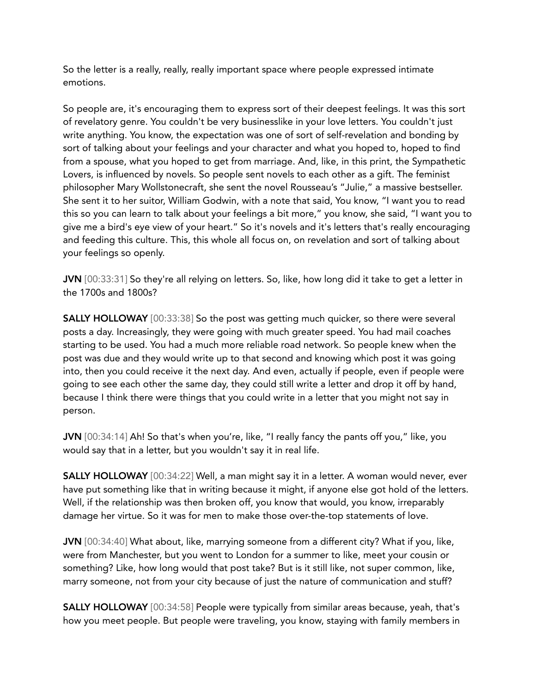So the letter is a really, really, really important space where people expressed intimate emotions.

So people are, it's encouraging them to express sort of their deepest feelings. It was this sort of revelatory genre. You couldn't be very businesslike in your love letters. You couldn't just write anything. You know, the expectation was one of sort of self-revelation and bonding by sort of talking about your feelings and your character and what you hoped to, hoped to find from a spouse, what you hoped to get from marriage. And, like, in this print, the Sympathetic Lovers, is influenced by novels. So people sent novels to each other as a gift. The feminist philosopher Mary Wollstonecraft, she sent the novel Rousseau's "Julie," a massive bestseller. She sent it to her suitor, William Godwin, with a note that said, You know, "I want you to read this so you can learn to talk about your feelings a bit more," you know, she said, "I want you to give me a bird's eye view of your heart." So it's novels and it's letters that's really encouraging and feeding this culture. This, this whole all focus on, on revelation and sort of talking about your feelings so openly.

JVN [00:33:31] So they're all relying on letters. So, like, how long did it take to get a letter in the 1700s and 1800s?

SALLY HOLLOWAY [00:33:38] So the post was getting much quicker, so there were several posts a day. Increasingly, they were going with much greater speed. You had mail coaches starting to be used. You had a much more reliable road network. So people knew when the post was due and they would write up to that second and knowing which post it was going into, then you could receive it the next day. And even, actually if people, even if people were going to see each other the same day, they could still write a letter and drop it off by hand, because I think there were things that you could write in a letter that you might not say in person.

JVN [00:34:14] Ah! So that's when you're, like, "I really fancy the pants off you," like, you would say that in a letter, but you wouldn't say it in real life.

SALLY HOLLOWAY [00:34:22] Well, a man might say it in a letter. A woman would never, ever have put something like that in writing because it might, if anyone else got hold of the letters. Well, if the relationship was then broken off, you know that would, you know, irreparably damage her virtue. So it was for men to make those over-the-top statements of love.

JVN [00:34:40] What about, like, marrying someone from a different city? What if you, like, were from Manchester, but you went to London for a summer to like, meet your cousin or something? Like, how long would that post take? But is it still like, not super common, like, marry someone, not from your city because of just the nature of communication and stuff?

SALLY HOLLOWAY [00:34:58] People were typically from similar areas because, yeah, that's how you meet people. But people were traveling, you know, staying with family members in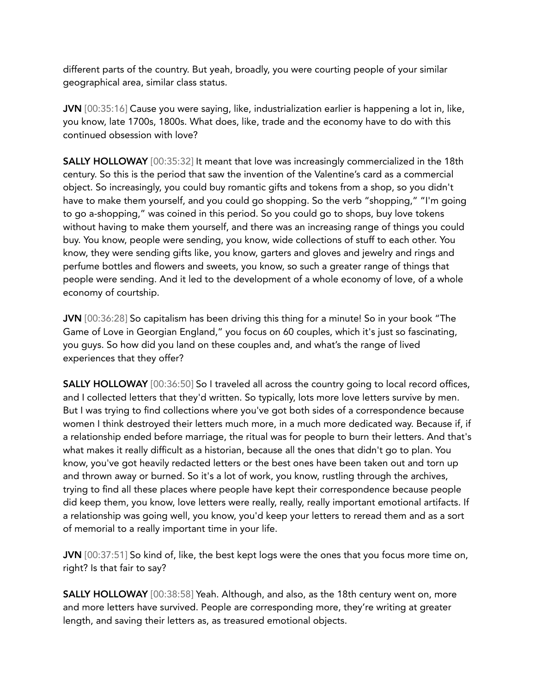different parts of the country. But yeah, broadly, you were courting people of your similar geographical area, similar class status.

JVN [00:35:16] Cause you were saying, like, industrialization earlier is happening a lot in, like, you know, late 1700s, 1800s. What does, like, trade and the economy have to do with this continued obsession with love?

**SALLY HOLLOWAY** [00:35:32] It meant that love was increasingly commercialized in the 18th century. So this is the period that saw the invention of the Valentine's card as a commercial object. So increasingly, you could buy romantic gifts and tokens from a shop, so you didn't have to make them yourself, and you could go shopping. So the verb "shopping," "I'm going to go a-shopping," was coined in this period. So you could go to shops, buy love tokens without having to make them yourself, and there was an increasing range of things you could buy. You know, people were sending, you know, wide collections of stuff to each other. You know, they were sending gifts like, you know, garters and gloves and jewelry and rings and perfume bottles and flowers and sweets, you know, so such a greater range of things that people were sending. And it led to the development of a whole economy of love, of a whole economy of courtship.

JVN [00:36:28] So capitalism has been driving this thing for a minute! So in your book "The Game of Love in Georgian England," you focus on 60 couples, which it's just so fascinating, you guys. So how did you land on these couples and, and what's the range of lived experiences that they offer?

SALLY HOLLOWAY [00:36:50] So I traveled all across the country going to local record offices, and I collected letters that they'd written. So typically, lots more love letters survive by men. But I was trying to find collections where you've got both sides of a correspondence because women I think destroyed their letters much more, in a much more dedicated way. Because if, if a relationship ended before marriage, the ritual was for people to burn their letters. And that's what makes it really difficult as a historian, because all the ones that didn't go to plan. You know, you've got heavily redacted letters or the best ones have been taken out and torn up and thrown away or burned. So it's a lot of work, you know, rustling through the archives, trying to find all these places where people have kept their correspondence because people did keep them, you know, love letters were really, really, really important emotional artifacts. If a relationship was going well, you know, you'd keep your letters to reread them and as a sort of memorial to a really important time in your life.

JVN [00:37:51] So kind of, like, the best kept logs were the ones that you focus more time on, right? Is that fair to say?

SALLY HOLLOWAY [00:38:58] Yeah. Although, and also, as the 18th century went on, more and more letters have survived. People are corresponding more, they're writing at greater length, and saving their letters as, as treasured emotional objects.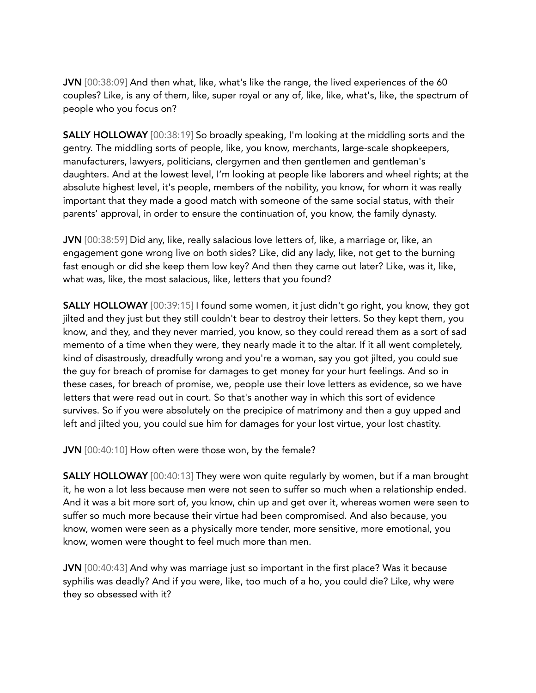JVN [00:38:09] And then what, like, what's like the range, the lived experiences of the 60 couples? Like, is any of them, like, super royal or any of, like, like, what's, like, the spectrum of people who you focus on?

SALLY HOLLOWAY [00:38:19] So broadly speaking, I'm looking at the middling sorts and the gentry. The middling sorts of people, like, you know, merchants, large-scale shopkeepers, manufacturers, lawyers, politicians, clergymen and then gentlemen and gentleman's daughters. And at the lowest level, I'm looking at people like laborers and wheel rights; at the absolute highest level, it's people, members of the nobility, you know, for whom it was really important that they made a good match with someone of the same social status, with their parents' approval, in order to ensure the continuation of, you know, the family dynasty.

JVN [00:38:59] Did any, like, really salacious love letters of, like, a marriage or, like, an engagement gone wrong live on both sides? Like, did any lady, like, not get to the burning fast enough or did she keep them low key? And then they came out later? Like, was it, like, what was, like, the most salacious, like, letters that you found?

SALLY HOLLOWAY [00:39:15] I found some women, it just didn't go right, you know, they got jilted and they just but they still couldn't bear to destroy their letters. So they kept them, you know, and they, and they never married, you know, so they could reread them as a sort of sad memento of a time when they were, they nearly made it to the altar. If it all went completely, kind of disastrously, dreadfully wrong and you're a woman, say you got jilted, you could sue the guy for breach of promise for damages to get money for your hurt feelings. And so in these cases, for breach of promise, we, people use their love letters as evidence, so we have letters that were read out in court. So that's another way in which this sort of evidence survives. So if you were absolutely on the precipice of matrimony and then a guy upped and left and jilted you, you could sue him for damages for your lost virtue, your lost chastity.

JVN [00:40:10] How often were those won, by the female?

SALLY HOLLOWAY [00:40:13] They were won quite regularly by women, but if a man brought it, he won a lot less because men were not seen to suffer so much when a relationship ended. And it was a bit more sort of, you know, chin up and get over it, whereas women were seen to suffer so much more because their virtue had been compromised. And also because, you know, women were seen as a physically more tender, more sensitive, more emotional, you know, women were thought to feel much more than men.

JVN [00:40:43] And why was marriage just so important in the first place? Was it because syphilis was deadly? And if you were, like, too much of a ho, you could die? Like, why were they so obsessed with it?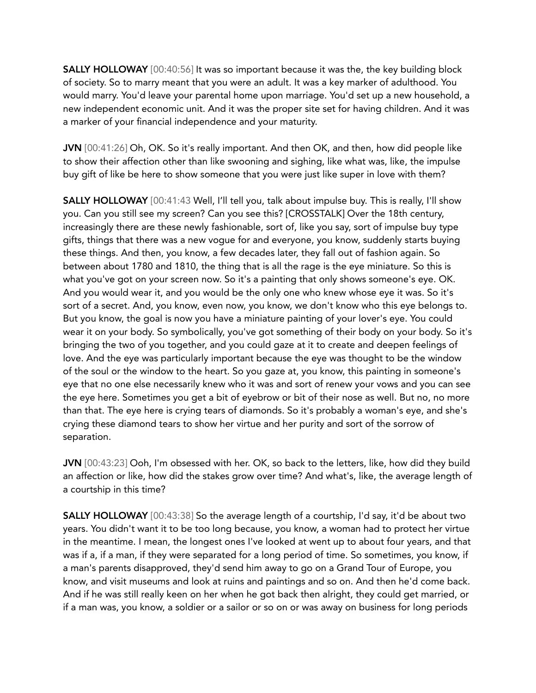**SALLY HOLLOWAY** [00:40:56] It was so important because it was the, the key building block of society. So to marry meant that you were an adult. It was a key marker of adulthood. You would marry. You'd leave your parental home upon marriage. You'd set up a new household, a new independent economic unit. And it was the proper site set for having children. And it was a marker of your financial independence and your maturity.

JVN [00:41:26] Oh, OK. So it's really important. And then OK, and then, how did people like to show their affection other than like swooning and sighing, like what was, like, the impulse buy gift of like be here to show someone that you were just like super in love with them?

**SALLY HOLLOWAY** [00:41:43 Well, I'll tell you, talk about impulse buy. This is really, I'll show you. Can you still see my screen? Can you see this? [CROSSTALK] Over the 18th century, increasingly there are these newly fashionable, sort of, like you say, sort of impulse buy type gifts, things that there was a new vogue for and everyone, you know, suddenly starts buying these things. And then, you know, a few decades later, they fall out of fashion again. So between about 1780 and 1810, the thing that is all the rage is the eye miniature. So this is what you've got on your screen now. So it's a painting that only shows someone's eye. OK. And you would wear it, and you would be the only one who knew whose eye it was. So it's sort of a secret. And, you know, even now, you know, we don't know who this eye belongs to. But you know, the goal is now you have a miniature painting of your lover's eye. You could wear it on your body. So symbolically, you've got something of their body on your body. So it's bringing the two of you together, and you could gaze at it to create and deepen feelings of love. And the eye was particularly important because the eye was thought to be the window of the soul or the window to the heart. So you gaze at, you know, this painting in someone's eye that no one else necessarily knew who it was and sort of renew your vows and you can see the eye here. Sometimes you get a bit of eyebrow or bit of their nose as well. But no, no more than that. The eye here is crying tears of diamonds. So it's probably a woman's eye, and she's crying these diamond tears to show her virtue and her purity and sort of the sorrow of separation.

JVN [00:43:23] Ooh, I'm obsessed with her. OK, so back to the letters, like, how did they build an affection or like, how did the stakes grow over time? And what's, like, the average length of a courtship in this time?

SALLY HOLLOWAY [00:43:38] So the average length of a courtship, I'd say, it'd be about two years. You didn't want it to be too long because, you know, a woman had to protect her virtue in the meantime. I mean, the longest ones I've looked at went up to about four years, and that was if a, if a man, if they were separated for a long period of time. So sometimes, you know, if a man's parents disapproved, they'd send him away to go on a Grand Tour of Europe, you know, and visit museums and look at ruins and paintings and so on. And then he'd come back. And if he was still really keen on her when he got back then alright, they could get married, or if a man was, you know, a soldier or a sailor or so on or was away on business for long periods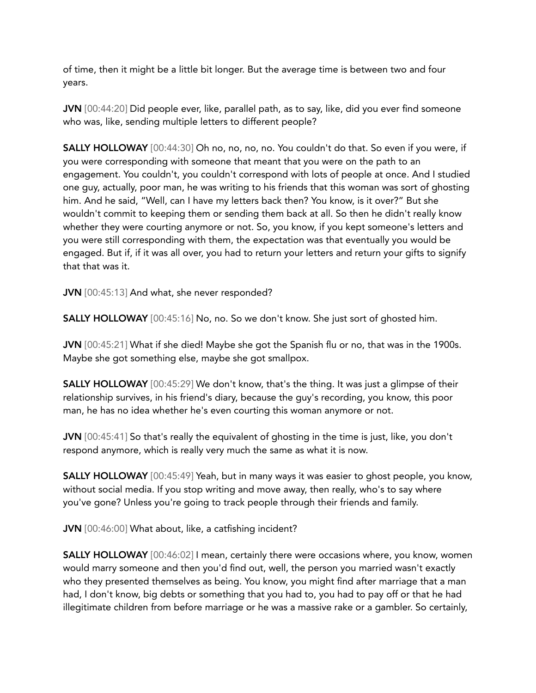of time, then it might be a little bit longer. But the average time is between two and four years.

JVN [00:44:20] Did people ever, like, parallel path, as to say, like, did you ever find someone who was, like, sending multiple letters to different people?

SALLY HOLLOWAY [00:44:30] Oh no, no, no, no. You couldn't do that. So even if you were, if you were corresponding with someone that meant that you were on the path to an engagement. You couldn't, you couldn't correspond with lots of people at once. And I studied one guy, actually, poor man, he was writing to his friends that this woman was sort of ghosting him. And he said, "Well, can I have my letters back then? You know, is it over?" But she wouldn't commit to keeping them or sending them back at all. So then he didn't really know whether they were courting anymore or not. So, you know, if you kept someone's letters and you were still corresponding with them, the expectation was that eventually you would be engaged. But if, if it was all over, you had to return your letters and return your gifts to signify that that was it.

JVN [00:45:13] And what, she never responded?

SALLY HOLLOWAY [00:45:16] No, no. So we don't know. She just sort of ghosted him.

JVN [00:45:21] What if she died! Maybe she got the Spanish flu or no, that was in the 1900s. Maybe she got something else, maybe she got smallpox.

SALLY HOLLOWAY [00:45:29] We don't know, that's the thing. It was just a glimpse of their relationship survives, in his friend's diary, because the guy's recording, you know, this poor man, he has no idea whether he's even courting this woman anymore or not.

JVN [00:45:41] So that's really the equivalent of ghosting in the time is just, like, you don't respond anymore, which is really very much the same as what it is now.

SALLY HOLLOWAY [00:45:49] Yeah, but in many ways it was easier to ghost people, you know, without social media. If you stop writing and move away, then really, who's to say where you've gone? Unless you're going to track people through their friends and family.

JVN [00:46:00] What about, like, a catfishing incident?

**SALLY HOLLOWAY** [00:46:02] I mean, certainly there were occasions where, you know, women would marry someone and then you'd find out, well, the person you married wasn't exactly who they presented themselves as being. You know, you might find after marriage that a man had, I don't know, big debts or something that you had to, you had to pay off or that he had illegitimate children from before marriage or he was a massive rake or a gambler. So certainly,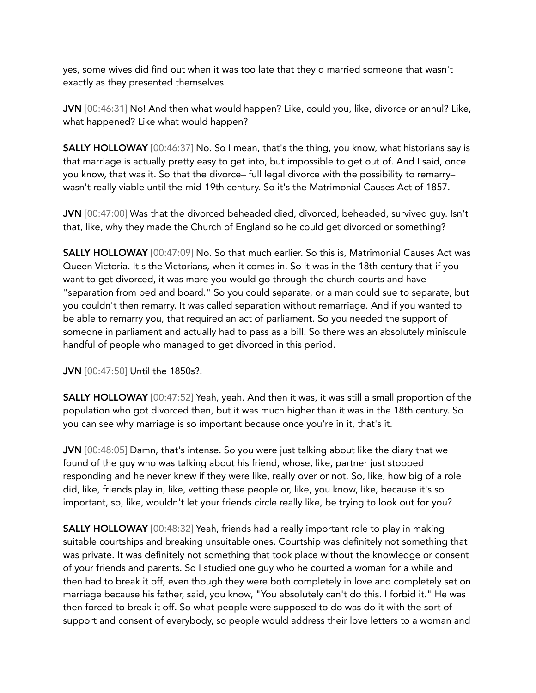yes, some wives did find out when it was too late that they'd married someone that wasn't exactly as they presented themselves.

JVN [00:46:31] No! And then what would happen? Like, could you, like, divorce or annul? Like, what happened? Like what would happen?

**SALLY HOLLOWAY** [00:46:37] No. So I mean, that's the thing, you know, what historians say is that marriage is actually pretty easy to get into, but impossible to get out of. And I said, once you know, that was it. So that the divorce– full legal divorce with the possibility to remarry– wasn't really viable until the mid-19th century. So it's the Matrimonial Causes Act of 1857.

JVN [00:47:00] Was that the divorced beheaded died, divorced, beheaded, survived guy. Isn't that, like, why they made the Church of England so he could get divorced or something?

SALLY HOLLOWAY [00:47:09] No. So that much earlier. So this is, Matrimonial Causes Act was Queen Victoria. It's the Victorians, when it comes in. So it was in the 18th century that if you want to get divorced, it was more you would go through the church courts and have "separation from bed and board." So you could separate, or a man could sue to separate, but you couldn't then remarry. It was called separation without remarriage. And if you wanted to be able to remarry you, that required an act of parliament. So you needed the support of someone in parliament and actually had to pass as a bill. So there was an absolutely miniscule handful of people who managed to get divorced in this period.

JVN [00:47:50] Until the 1850s?!

**SALLY HOLLOWAY** [00:47:52] Yeah, yeah. And then it was, it was still a small proportion of the population who got divorced then, but it was much higher than it was in the 18th century. So you can see why marriage is so important because once you're in it, that's it.

JVN [00:48:05] Damn, that's intense. So you were just talking about like the diary that we found of the guy who was talking about his friend, whose, like, partner just stopped responding and he never knew if they were like, really over or not. So, like, how big of a role did, like, friends play in, like, vetting these people or, like, you know, like, because it's so important, so, like, wouldn't let your friends circle really like, be trying to look out for you?

SALLY HOLLOWAY [00:48:32] Yeah, friends had a really important role to play in making suitable courtships and breaking unsuitable ones. Courtship was definitely not something that was private. It was definitely not something that took place without the knowledge or consent of your friends and parents. So I studied one guy who he courted a woman for a while and then had to break it off, even though they were both completely in love and completely set on marriage because his father, said, you know, "You absolutely can't do this. I forbid it." He was then forced to break it off. So what people were supposed to do was do it with the sort of support and consent of everybody, so people would address their love letters to a woman and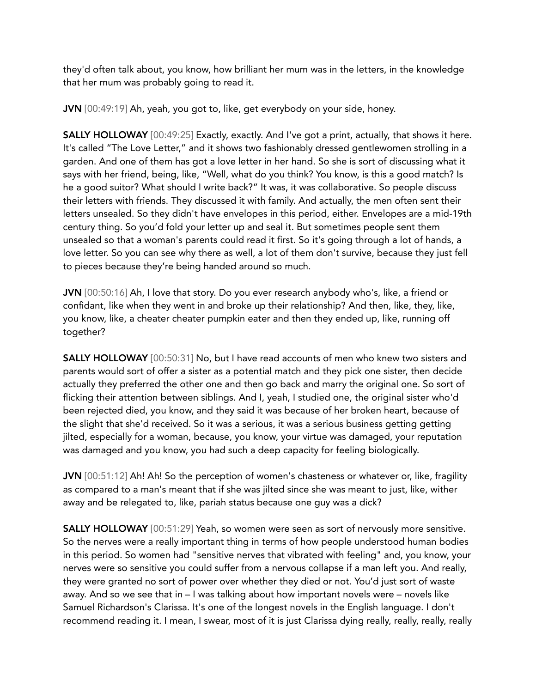they'd often talk about, you know, how brilliant her mum was in the letters, in the knowledge that her mum was probably going to read it.

JVN [00:49:19] Ah, yeah, you got to, like, get everybody on your side, honey.

SALLY HOLLOWAY [00:49:25] Exactly, exactly. And I've got a print, actually, that shows it here. It's called "The Love Letter," and it shows two fashionably dressed gentlewomen strolling in a garden. And one of them has got a love letter in her hand. So she is sort of discussing what it says with her friend, being, like, "Well, what do you think? You know, is this a good match? Is he a good suitor? What should I write back?" It was, it was collaborative. So people discuss their letters with friends. They discussed it with family. And actually, the men often sent their letters unsealed. So they didn't have envelopes in this period, either. Envelopes are a mid-19th century thing. So you'd fold your letter up and seal it. But sometimes people sent them unsealed so that a woman's parents could read it first. So it's going through a lot of hands, a love letter. So you can see why there as well, a lot of them don't survive, because they just fell to pieces because they're being handed around so much.

JVN [00:50:16] Ah, I love that story. Do you ever research anybody who's, like, a friend or confidant, like when they went in and broke up their relationship? And then, like, they, like, you know, like, a cheater cheater pumpkin eater and then they ended up, like, running off together?

SALLY HOLLOWAY [00:50:31] No, but I have read accounts of men who knew two sisters and parents would sort of offer a sister as a potential match and they pick one sister, then decide actually they preferred the other one and then go back and marry the original one. So sort of flicking their attention between siblings. And I, yeah, I studied one, the original sister who'd been rejected died, you know, and they said it was because of her broken heart, because of the slight that she'd received. So it was a serious, it was a serious business getting getting jilted, especially for a woman, because, you know, your virtue was damaged, your reputation was damaged and you know, you had such a deep capacity for feeling biologically.

JVN [00:51:12] Ah! Ah! So the perception of women's chasteness or whatever or, like, fragility as compared to a man's meant that if she was jilted since she was meant to just, like, wither away and be relegated to, like, pariah status because one guy was a dick?

SALLY HOLLOWAY [00:51:29] Yeah, so women were seen as sort of nervously more sensitive. So the nerves were a really important thing in terms of how people understood human bodies in this period. So women had "sensitive nerves that vibrated with feeling" and, you know, your nerves were so sensitive you could suffer from a nervous collapse if a man left you. And really, they were granted no sort of power over whether they died or not. You'd just sort of waste away. And so we see that in – I was talking about how important novels were – novels like Samuel Richardson's Clarissa. It's one of the longest novels in the English language. I don't recommend reading it. I mean, I swear, most of it is just Clarissa dying really, really, really, really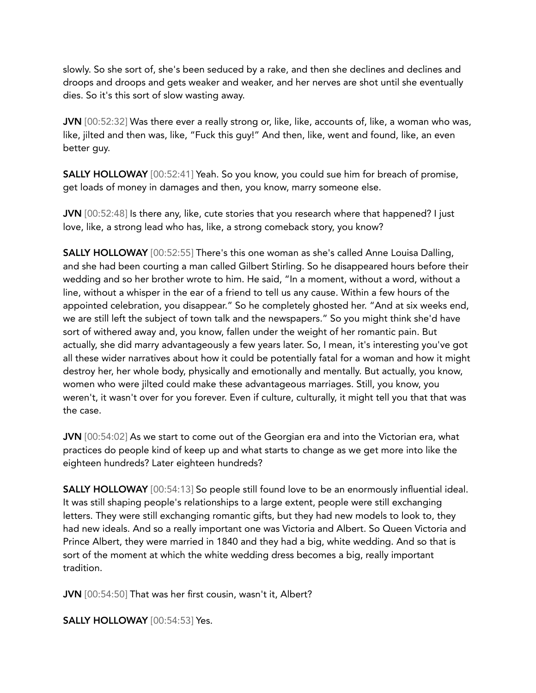slowly. So she sort of, she's been seduced by a rake, and then she declines and declines and droops and droops and gets weaker and weaker, and her nerves are shot until she eventually dies. So it's this sort of slow wasting away.

JVN [00:52:32] Was there ever a really strong or, like, like, accounts of, like, a woman who was, like, jilted and then was, like, "Fuck this guy!" And then, like, went and found, like, an even better guy.

SALLY HOLLOWAY [00:52:41] Yeah. So you know, you could sue him for breach of promise, get loads of money in damages and then, you know, marry someone else.

JVN [00:52:48] Is there any, like, cute stories that you research where that happened? I just love, like, a strong lead who has, like, a strong comeback story, you know?

SALLY HOLLOWAY [00:52:55] There's this one woman as she's called Anne Louisa Dalling, and she had been courting a man called Gilbert Stirling. So he disappeared hours before their wedding and so her brother wrote to him. He said, "In a moment, without a word, without a line, without a whisper in the ear of a friend to tell us any cause. Within a few hours of the appointed celebration, you disappear." So he completely ghosted her. "And at six weeks end, we are still left the subject of town talk and the newspapers." So you might think she'd have sort of withered away and, you know, fallen under the weight of her romantic pain. But actually, she did marry advantageously a few years later. So, I mean, it's interesting you've got all these wider narratives about how it could be potentially fatal for a woman and how it might destroy her, her whole body, physically and emotionally and mentally. But actually, you know, women who were jilted could make these advantageous marriages. Still, you know, you weren't, it wasn't over for you forever. Even if culture, culturally, it might tell you that that was the case.

JVN [00:54:02] As we start to come out of the Georgian era and into the Victorian era, what practices do people kind of keep up and what starts to change as we get more into like the eighteen hundreds? Later eighteen hundreds?

**SALLY HOLLOWAY** [00:54:13] So people still found love to be an enormously influential ideal. It was still shaping people's relationships to a large extent, people were still exchanging letters. They were still exchanging romantic gifts, but they had new models to look to, they had new ideals. And so a really important one was Victoria and Albert. So Queen Victoria and Prince Albert, they were married in 1840 and they had a big, white wedding. And so that is sort of the moment at which the white wedding dress becomes a big, really important tradition.

JVN [00:54:50] That was her first cousin, wasn't it, Albert?

SALLY HOLLOWAY [00:54:53] Yes.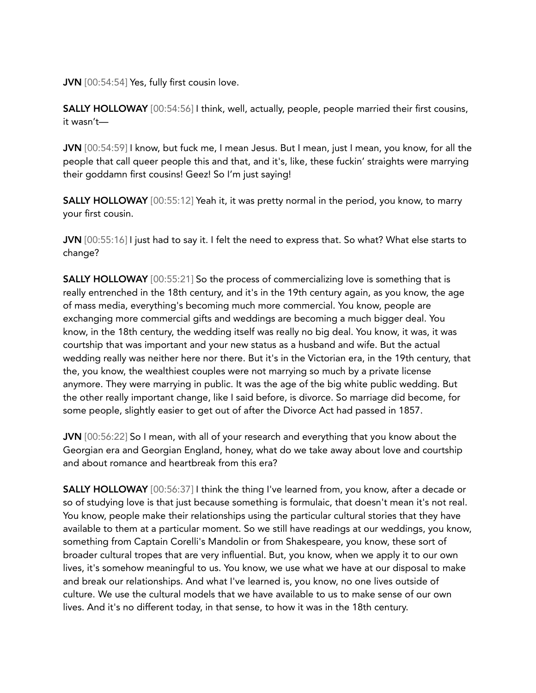JVN [00:54:54] Yes, fully first cousin love.

SALLY HOLLOWAY [00:54:56] I think, well, actually, people, people married their first cousins, it wasn't—

JVN [00:54:59] I know, but fuck me, I mean Jesus. But I mean, just I mean, you know, for all the people that call queer people this and that, and it's, like, these fuckin' straights were marrying their goddamn first cousins! Geez! So I'm just saying!

**SALLY HOLLOWAY** [00:55:12] Yeah it, it was pretty normal in the period, you know, to marry your first cousin.

JVN [00:55:16] I just had to say it. I felt the need to express that. So what? What else starts to change?

SALLY HOLLOWAY [00:55:21] So the process of commercializing love is something that is really entrenched in the 18th century, and it's in the 19th century again, as you know, the age of mass media, everything's becoming much more commercial. You know, people are exchanging more commercial gifts and weddings are becoming a much bigger deal. You know, in the 18th century, the wedding itself was really no big deal. You know, it was, it was courtship that was important and your new status as a husband and wife. But the actual wedding really was neither here nor there. But it's in the Victorian era, in the 19th century, that the, you know, the wealthiest couples were not marrying so much by a private license anymore. They were marrying in public. It was the age of the big white public wedding. But the other really important change, like I said before, is divorce. So marriage did become, for some people, slightly easier to get out of after the Divorce Act had passed in 1857.

JVN [00:56:22] So I mean, with all of your research and everything that you know about the Georgian era and Georgian England, honey, what do we take away about love and courtship and about romance and heartbreak from this era?

SALLY HOLLOWAY [00:56:37] I think the thing I've learned from, you know, after a decade or so of studying love is that just because something is formulaic, that doesn't mean it's not real. You know, people make their relationships using the particular cultural stories that they have available to them at a particular moment. So we still have readings at our weddings, you know, something from Captain Corelli's Mandolin or from Shakespeare, you know, these sort of broader cultural tropes that are very influential. But, you know, when we apply it to our own lives, it's somehow meaningful to us. You know, we use what we have at our disposal to make and break our relationships. And what I've learned is, you know, no one lives outside of culture. We use the cultural models that we have available to us to make sense of our own lives. And it's no different today, in that sense, to how it was in the 18th century.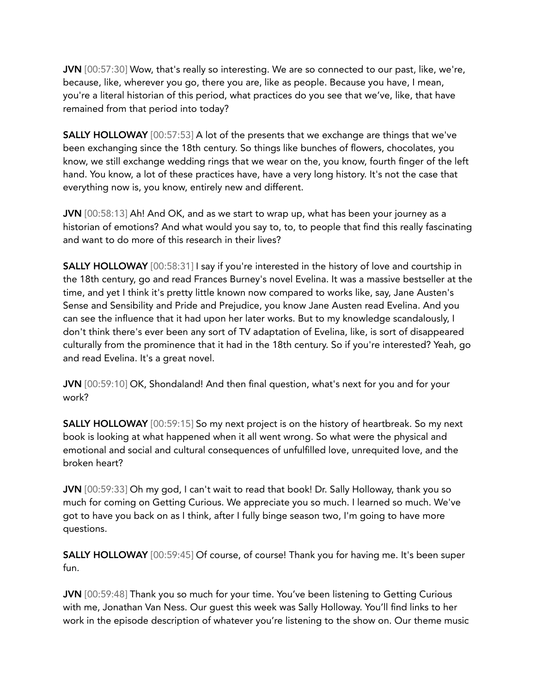JVN [00:57:30] Wow, that's really so interesting. We are so connected to our past, like, we're, because, like, wherever you go, there you are, like as people. Because you have, I mean, you're a literal historian of this period, what practices do you see that we've, like, that have remained from that period into today?

SALLY HOLLOWAY [00:57:53] A lot of the presents that we exchange are things that we've been exchanging since the 18th century. So things like bunches of flowers, chocolates, you know, we still exchange wedding rings that we wear on the, you know, fourth finger of the left hand. You know, a lot of these practices have, have a very long history. It's not the case that everything now is, you know, entirely new and different.

JVN [00:58:13] Ah! And OK, and as we start to wrap up, what has been your journey as a historian of emotions? And what would you say to, to, to people that find this really fascinating and want to do more of this research in their lives?

SALLY HOLLOWAY [00:58:31] I say if you're interested in the history of love and courtship in the 18th century, go and read Frances Burney's novel Evelina. It was a massive bestseller at the time, and yet I think it's pretty little known now compared to works like, say, Jane Austen's Sense and Sensibility and Pride and Prejudice, you know Jane Austen read Evelina. And you can see the influence that it had upon her later works. But to my knowledge scandalously, I don't think there's ever been any sort of TV adaptation of Evelina, like, is sort of disappeared culturally from the prominence that it had in the 18th century. So if you're interested? Yeah, go and read Evelina. It's a great novel.

JVN [00:59:10] OK, Shondaland! And then final question, what's next for you and for your work?

SALLY HOLLOWAY [00:59:15] So my next project is on the history of heartbreak. So my next book is looking at what happened when it all went wrong. So what were the physical and emotional and social and cultural consequences of unfulfilled love, unrequited love, and the broken heart?

JVN [00:59:33] Oh my god, I can't wait to read that book! Dr. Sally Holloway, thank you so much for coming on Getting Curious. We appreciate you so much. I learned so much. We've got to have you back on as I think, after I fully binge season two, I'm going to have more questions.

SALLY HOLLOWAY [00:59:45] Of course, of course! Thank you for having me. It's been super fun.

JVN [00:59:48] Thank you so much for your time. You've been listening to Getting Curious with me, Jonathan Van Ness. Our guest this week was Sally Holloway. You'll find links to her work in the episode description of whatever you're listening to the show on. Our theme music